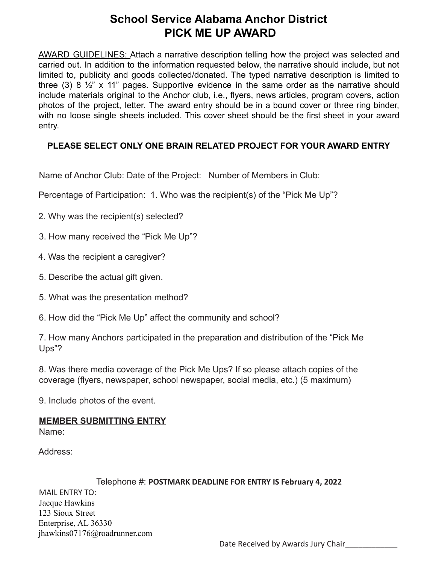## **School Service Alabama Anchor District PICK ME UP AWARD**

AWARD GUIDELINES: Attach a narrative description telling how the project was selected and carried out. In addition to the information requested below, the narrative should include, but not limited to, publicity and goods collected/donated. The typed narrative description is limited to three (3) 8  $\frac{1}{2}$ " x 11" pages. Supportive evidence in the same order as the narrative should include materials original to the Anchor club, i.e., flyers, news articles, program covers, action photos of the project, letter. The award entry should be in a bound cover or three ring binder, with no loose single sheets included. This cover sheet should be the first sheet in your award entry.

### **PLEASE SELECT ONLY ONE BRAIN RELATED PROJECT FOR YOUR AWARD ENTRY**

Name of Anchor Club: Date of the Project: Number of Members in Club:

Percentage of Participation: 1. Who was the recipient(s) of the "Pick Me Up"?

2. Why was the recipient(s) selected?

3. How many received the "Pick Me Up"?

4. Was the recipient a caregiver?

5. Describe the actual gift given.

5. What was the presentation method?

6. How did the "Pick Me Up" affect the community and school?

7. How many Anchors participated in the preparation and distribution of the "Pick Me Ups"?

8. Was there media coverage of the Pick Me Ups? If so please attach copies of the coverage (flyers, newspaper, school newspaper, social media, etc.) (5 maximum)

9. Include photos of the event.

#### **MEMBER SUBMITTING ENTRY**

Name:

Address:

#### Telephone #: **POSTMARK DEADLINE FOR ENTRY IS February 4, 2022** MAIL ENTRY TO: Jacque Hawkins 123 Sioux Street Enterprise, AL 36330 jhawkins07176@roadrunner.com

Date Received by Awards Jury Chair